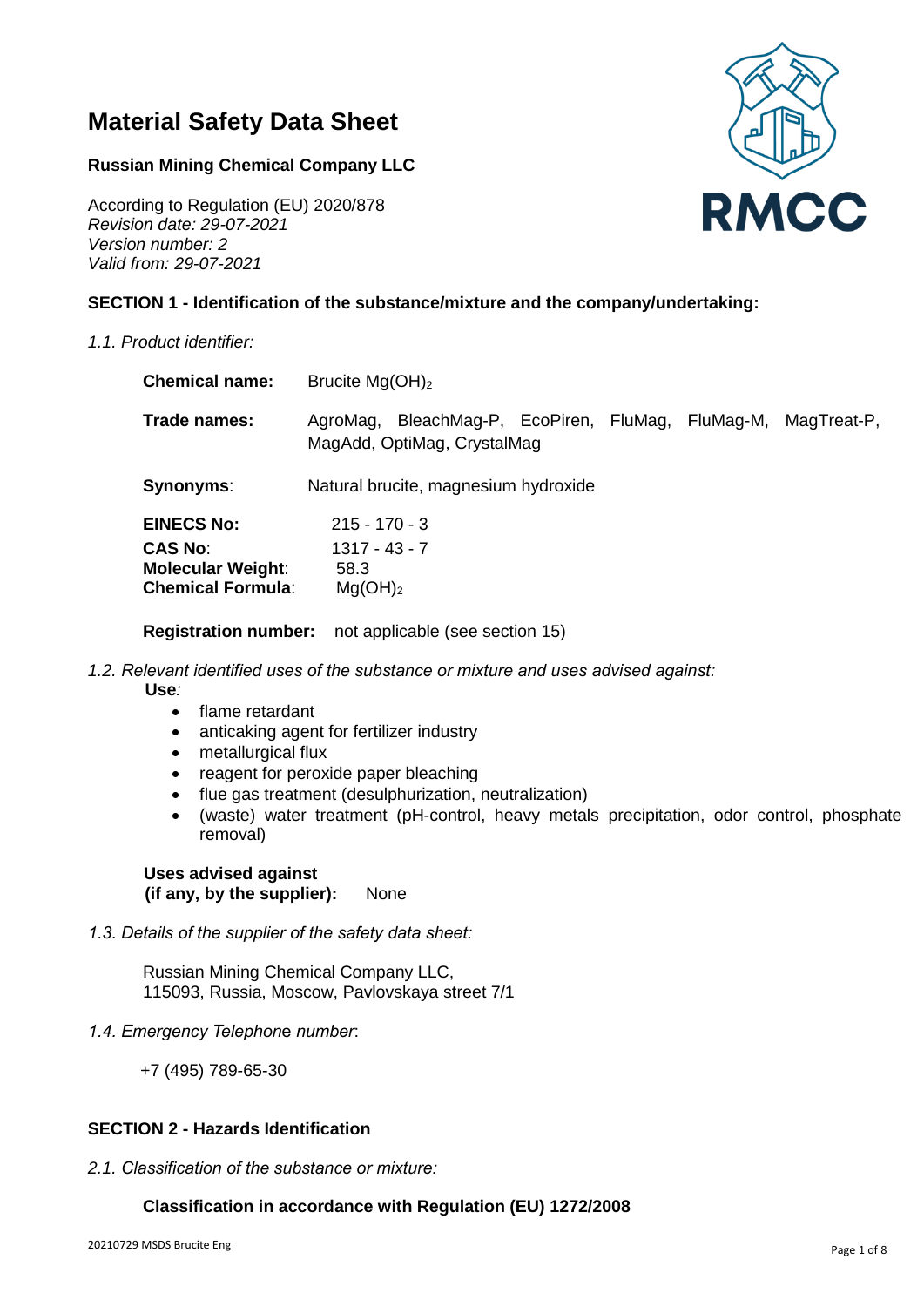# **Material Safety Data Sheet**

## **Russian Mining Chemical Company LLC**

According to Regulation (EU) 2020/878 *Revision date: 29-07-2021 Version number: 2 Valid from: 29-07-2021*

## **SECTION 1 - Identification of the substance/mixture and the company/undertaking:**

*1.1. Product identifier:*

| <b>Chemical name:</b>                                                                       | Brucite $Mg(OH)2$                                                                |  |             |
|---------------------------------------------------------------------------------------------|----------------------------------------------------------------------------------|--|-------------|
| Trade names:                                                                                | AgroMag, BleachMag-P, EcoPiren, FluMag, FluMag-M,<br>MagAdd, OptiMag, CrystalMag |  | MagTreat-P, |
| <b>Synonyms:</b>                                                                            | Natural brucite, magnesium hydroxide                                             |  |             |
| <b>EINECS No:</b><br><b>CAS No:</b><br><b>Molecular Weight:</b><br><b>Chemical Formula:</b> | $215 - 170 - 3$<br>$1317 - 43 - 7$<br>58.3<br>Mg(OH) <sub>2</sub>                |  |             |

**Registration number:** not applicable (see section 15)

*1.2. Relevant identified uses of the substance or mixture and uses advised against:* 

 **Use***:* 

- flame retardant
- anticaking agent for fertilizer industry
- metallurgical flux
- reagent for peroxide paper bleaching
- flue gas treatment (desulphurization, neutralization)
- (waste) water treatment (pH-control, heavy metals precipitation, odor control, phosphate removal)

## **Uses advised against (if any, by the supplier):** None

*1.3. Details of the supplier of the safety data sheet:*

Russian Mining Chemical Company LLC, 115093, Russia, Moscow, Pavlovskaya street 7/1

*1.4. Emergency Telephon*e *number*:

+7 (495) 789-65-30

## **SECTION 2 - Hazards Identification**

*2.1. Classification of the substance or mixture:*

## **Classification in accordance with Regulation (EU) 1272/2008**

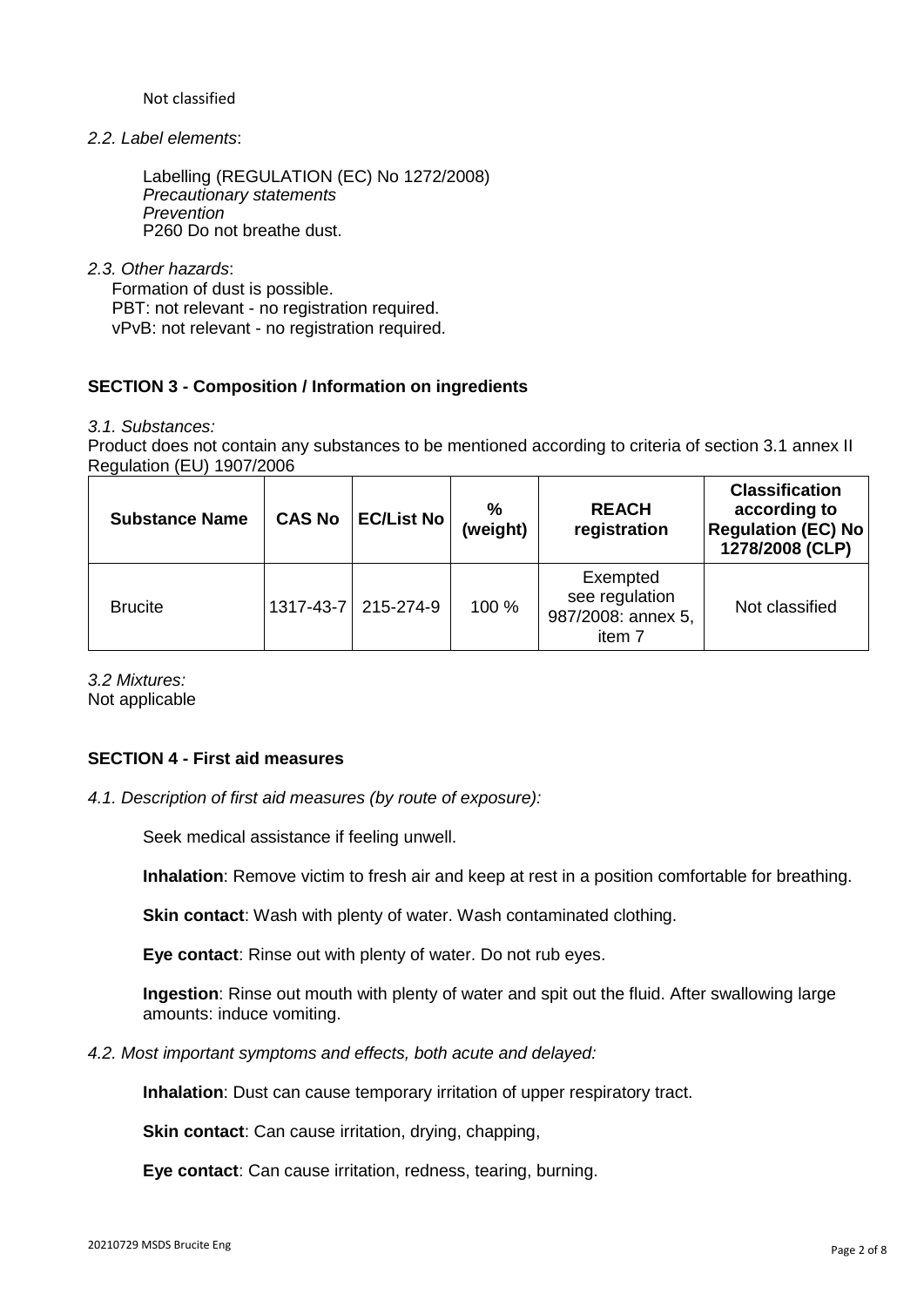Not classified

*2.2. Label elements*:

Labelling (REGULATION (EC) No 1272/2008) *Precautionary statements Prevention* P260 Do not breathe dust.

*2.3. Other hazards*:

 Formation of dust is possible. PBT: not relevant - no registration required. vPvB: not relevant - no registration required.

## **SECTION 3 - Composition / Information on ingredients**

*3.1. Substances:*

Product does not contain any substances to be mentioned according to criteria of section 3.1 annex II Regulation (EU) 1907/2006

| <b>Substance Name</b> | <b>CAS No</b> | <b>EC/List No</b> | %<br>(weight) | <b>REACH</b><br>registration                               | <b>Classification</b><br>according to<br><b>Regulation (EC) No</b><br>1278/2008 (CLP) |
|-----------------------|---------------|-------------------|---------------|------------------------------------------------------------|---------------------------------------------------------------------------------------|
| <b>Brucite</b>        | 1317-43-7     | 215-274-9         | 100 %         | Exempted<br>see regulation<br>987/2008: annex 5,<br>item 7 | Not classified                                                                        |

*3.2 Mixtures:* Not applicable

## **SECTION 4 - First aid measures**

*4.1. Description of first aid measures (by route of exposure):*

Seek medical assistance if feeling unwell.

**Inhalation**: Remove victim to fresh air and keep at rest in a position comfortable for breathing.

**Skin contact**: Wash with plenty of water. Wash contaminated clothing.

**Eye contact**: Rinse out with plenty of water. Do not rub eyes.

**Ingestion**: Rinse out mouth with plenty of water and spit out the fluid. After swallowing large amounts: induce vomiting.

*4.2. Most important symptoms and effects, both acute and delayed:*

**Inhalation**: Dust can cause temporary irritation of upper respiratory tract.

**Skin contact:** Can cause irritation, drving, chapping,

**Eye contact**: Can cause irritation, redness, tearing, burning.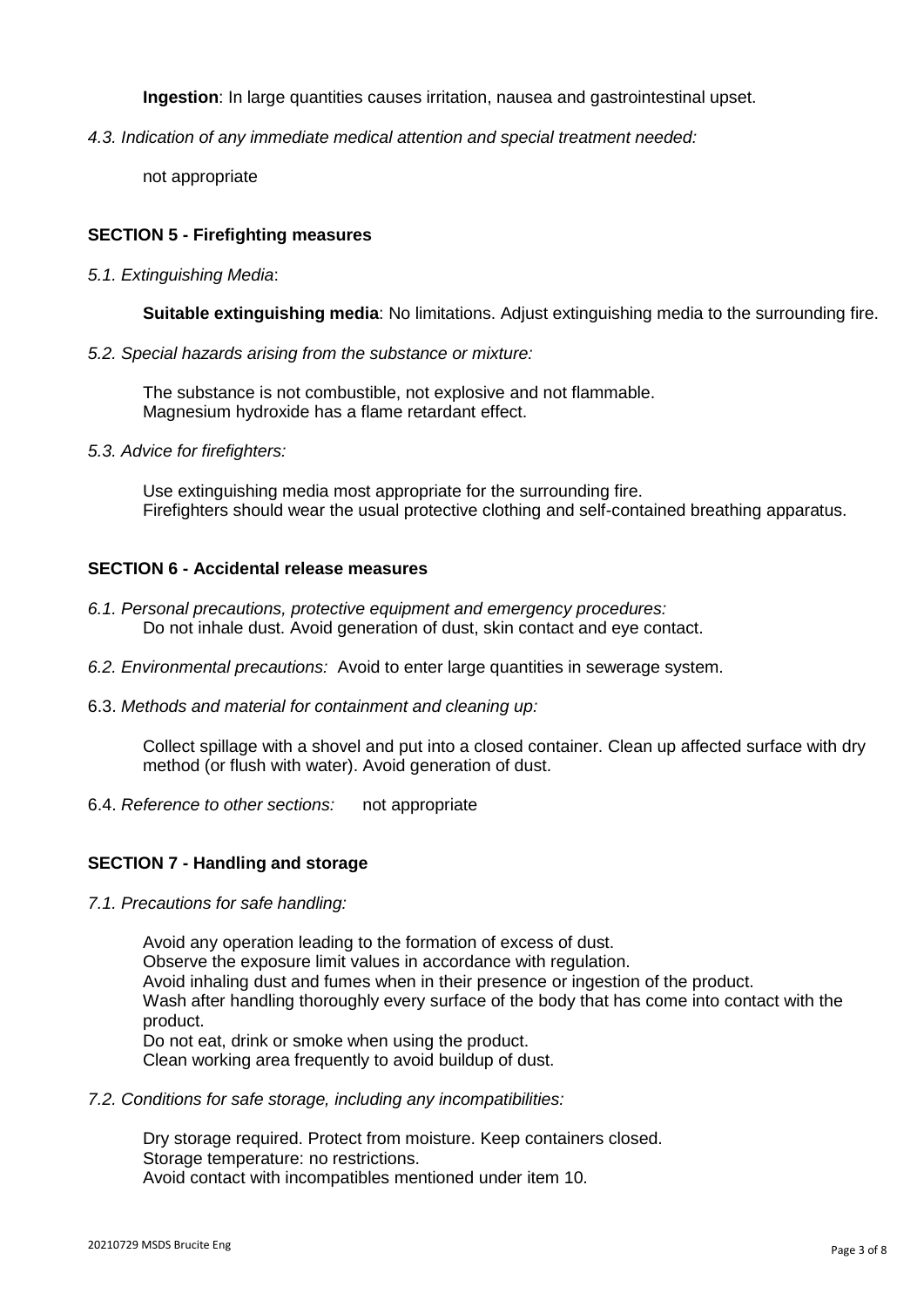**Ingestion**: In large quantities causes irritation, nausea and gastrointestinal upset.

*4.3. Indication of any immediate medical attention and special treatment needed:*

not appropriate

## **SECTION 5 - Firefighting measures**

*5.1. Extinguishing Media*:

**Suitable extinguishing media**: No limitations. Adjust extinguishing media to the surrounding fire.

*5.2. Special hazards arising from the substance or mixture:*

The substance is not combustible, not explosive and not flammable. Magnesium hydroxide has a flame retardant effect.

*5.3. Advice for firefighters:*

Use extinguishing media most appropriate for the surrounding fire. Firefighters should wear the usual protective clothing and self-contained breathing apparatus.

## **SECTION 6 - Accidental release measures**

- *6.1. Personal precautions, protective equipment and emergency procedures:* Do not inhale dust. Avoid generation of dust, skin contact and eye contact.
- *6.2. Environmental precautions:* Avoid to enter large quantities in sewerage system.
- 6.3. *Methods and material for containment and cleaning up:*

Collect spillage with a shovel and put into a closed container. Clean up affected surface with dry method (or flush with water). Avoid generation of dust.

6.4. *Reference to other sections:* not appropriate

## **SECTION 7 - Handling and storage**

*7.1. Precautions for safe handling:*

Avoid any operation leading to the formation of excess of dust. Observe the exposure limit values in accordance with regulation. Avoid inhaling dust and fumes when in their presence or ingestion of the product. Wash after handling thoroughly every surface of the body that has come into contact with the product. Do not eat, drink or smoke when using the product. Clean working area frequently to avoid buildup of dust.

*7.2. Conditions for safe storage, including any incompatibilities:*

Dry storage required. Protect from moisture. Keep containers closed. Storage temperature: no restrictions. Avoid contact with incompatibles mentioned under item 10.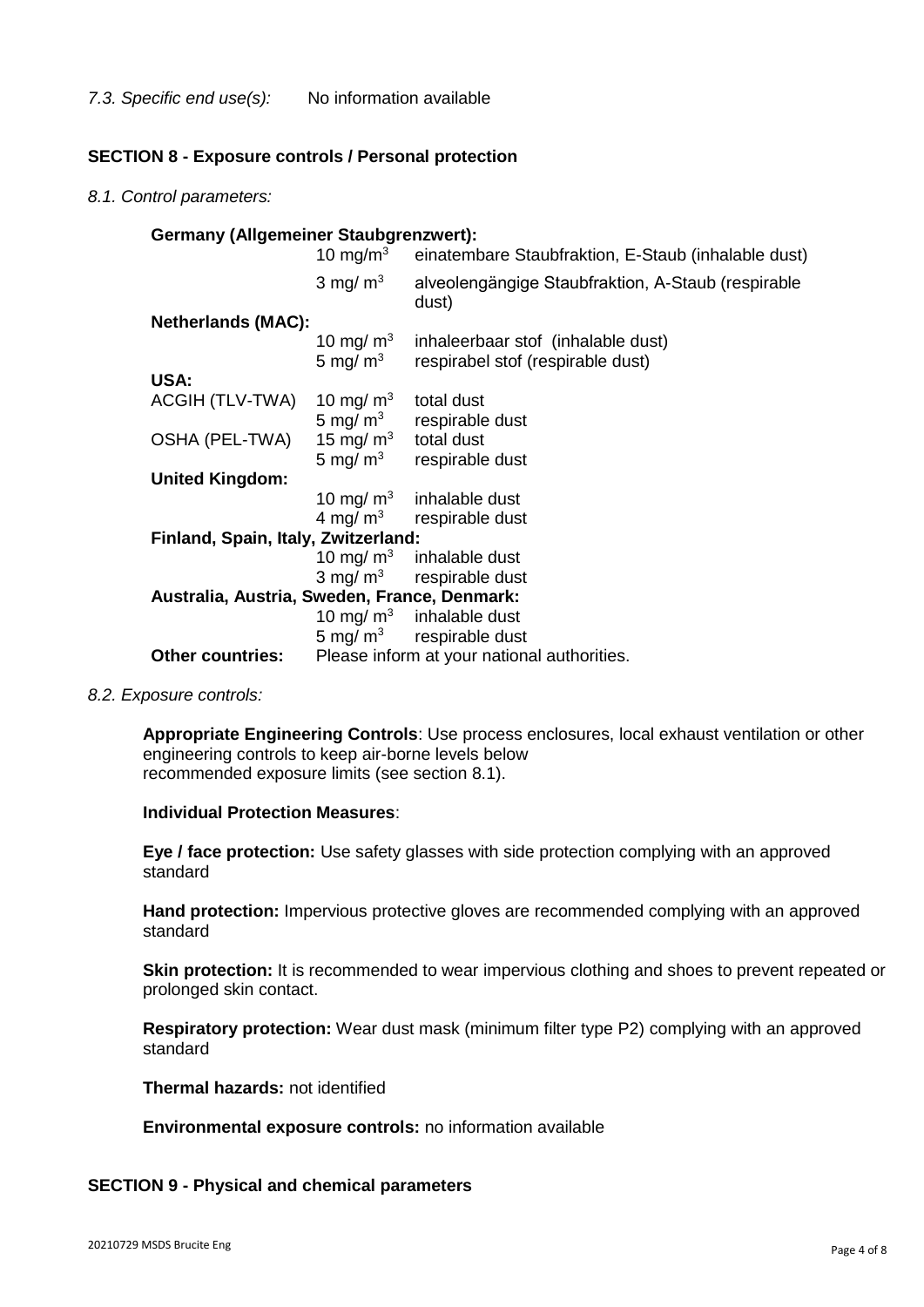## **SECTION 8 - Exposure controls / Personal protection**

*8.1. Control parameters:*

| <b>Germany (Allgemeiner Staubgrenzwert):</b> |                        |                                                                                            |
|----------------------------------------------|------------------------|--------------------------------------------------------------------------------------------|
|                                              | 10 mg/m $3$            | einatembare Staubfraktion, E-Staub (inhalable dust)                                        |
|                                              | 3 mg/ $m3$             | alveolengängige Staubfraktion, A-Staub (respirable<br>dust)                                |
| <b>Netherlands (MAC):</b>                    |                        |                                                                                            |
|                                              | 10 mg/ $\mathsf{m}^3$  | inhaleerbaar stof (inhalable dust)<br>$5 \text{ mg/m}^3$ respirabel stof (respirable dust) |
| USA:                                         |                        |                                                                                            |
| ACGIH (TLV-TWA)                              | 10 mg/ $m3$            | total dust                                                                                 |
|                                              | 5 mg/ $m3$             | respirable dust                                                                            |
| OSHA (PEL-TWA)                               | 15 mg/ $m3$ total dust |                                                                                            |
|                                              | 5 mg/ $m3$             | respirable dust                                                                            |
| <b>United Kingdom:</b>                       |                        |                                                                                            |
|                                              |                        | 10 mg/ $m3$ inhalable dust                                                                 |
|                                              |                        | $4 \text{ mg/m}^3$ respirable dust                                                         |
| Finland, Spain, Italy, Zwitzerland:          |                        |                                                                                            |
|                                              |                        | 10 mg/ $m3$ inhalable dust                                                                 |
|                                              |                        | $3 \text{ mg/m}^3$ respirable dust                                                         |
| Australia, Austria, Sweden, France, Denmark: |                        |                                                                                            |
|                                              |                        | 10 mg/ $m3$ inhalable dust                                                                 |
|                                              |                        | 5 mg/ $m3$ respirable dust                                                                 |
| <b>Other countries:</b>                      |                        | Please inform at your national authorities.                                                |

*8.2. Exposure controls:*

**Appropriate Engineering Controls**: Use process enclosures, local exhaust ventilation or other engineering controls to keep air-borne levels below recommended exposure limits (see section 8.1).

**Individual Protection Measures**:

**Eye / face protection:** Use safety glasses with side protection complying with an approved standard

**Hand protection:** Impervious protective gloves are recommended complying with an approved standard

**Skin protection:** It is recommended to wear impervious clothing and shoes to prevent repeated or prolonged skin contact.

**Respiratory protection:** Wear dust mask (minimum filter type P2) complying with an approved standard

**Thermal hazards:** not identified

**Environmental exposure controls:** no information available

#### **SECTION 9 - Physical and chemical parameters**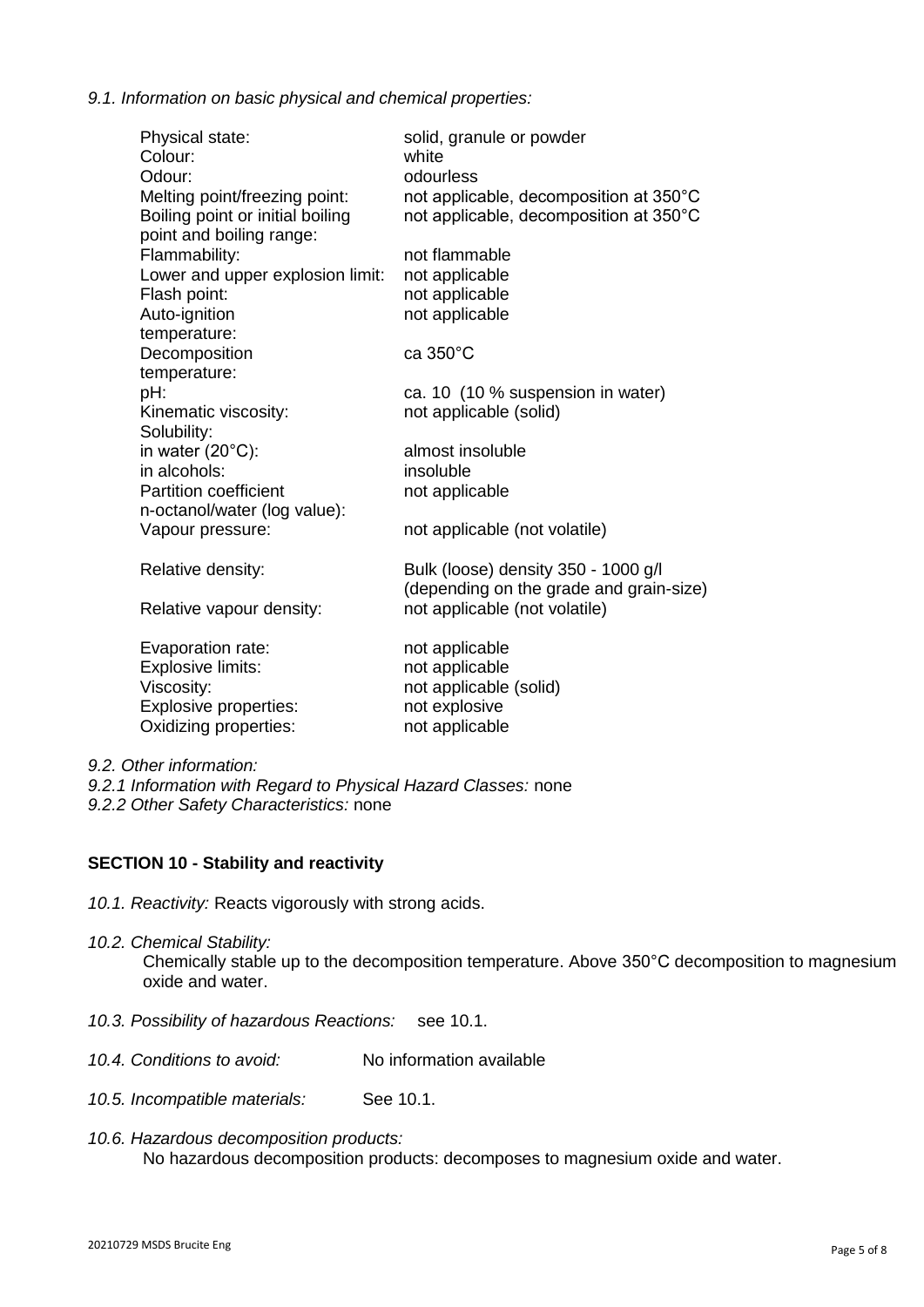*9.1. Information on basic physical and chemical properties:*

| Physical state:<br>Colour:<br>Odour:<br>Melting point/freezing point: | solid, granule or powder<br>white<br>odourless<br>not applicable, decomposition at 350°C |
|-----------------------------------------------------------------------|------------------------------------------------------------------------------------------|
| Boiling point or initial boiling<br>point and boiling range:          | not applicable, decomposition at 350°C                                                   |
| Flammability:                                                         | not flammable                                                                            |
| Lower and upper explosion limit:                                      | not applicable                                                                           |
| Flash point:                                                          | not applicable                                                                           |
| Auto-ignition<br>temperature:                                         | not applicable                                                                           |
| Decomposition<br>temperature:                                         | ca 350°C                                                                                 |
| pH:                                                                   | ca. 10 (10 % suspension in water)                                                        |
| Kinematic viscosity:<br>Solubility:                                   | not applicable (solid)                                                                   |
| in water $(20^{\circ}C)$ :                                            | almost insoluble                                                                         |
| in alcohols:                                                          | insoluble                                                                                |
| <b>Partition coefficient</b>                                          | not applicable                                                                           |
| n-octanol/water (log value):                                          |                                                                                          |
| Vapour pressure:                                                      | not applicable (not volatile)                                                            |
| Relative density:                                                     | Bulk (loose) density 350 - 1000 g/l<br>(depending on the grade and grain-size)           |
| Relative vapour density:                                              | not applicable (not volatile)                                                            |
| Evaporation rate:                                                     | not applicable                                                                           |
| <b>Explosive limits:</b>                                              | not applicable                                                                           |
| Viscosity:                                                            | not applicable (solid)                                                                   |
| <b>Explosive properties:</b><br>Oxidizing properties:                 | not explosive                                                                            |
|                                                                       | not applicable                                                                           |

*9.2. Other information:* 

*9.2.1 Information with Regard to Physical Hazard Classes:* none *9.2.2 Other Safety Characteristics:* none

## **SECTION 10 - Stability and reactivity**

- *10.1. Reactivity:* Reacts vigorously with strong acids.
- *10.2. Chemical Stability:* Chemically stable up to the decomposition temperature. Above 350°C decomposition to magnesium oxide and water.
- *10.3. Possibility of hazardous Reactions:* see 10.1.
- *10.4. Conditions to avoid:* No information available
- *10.5. Incompatible materials:* See 10.1.
- *10.6. Hazardous decomposition products:* No hazardous decomposition products: decomposes to magnesium oxide and water.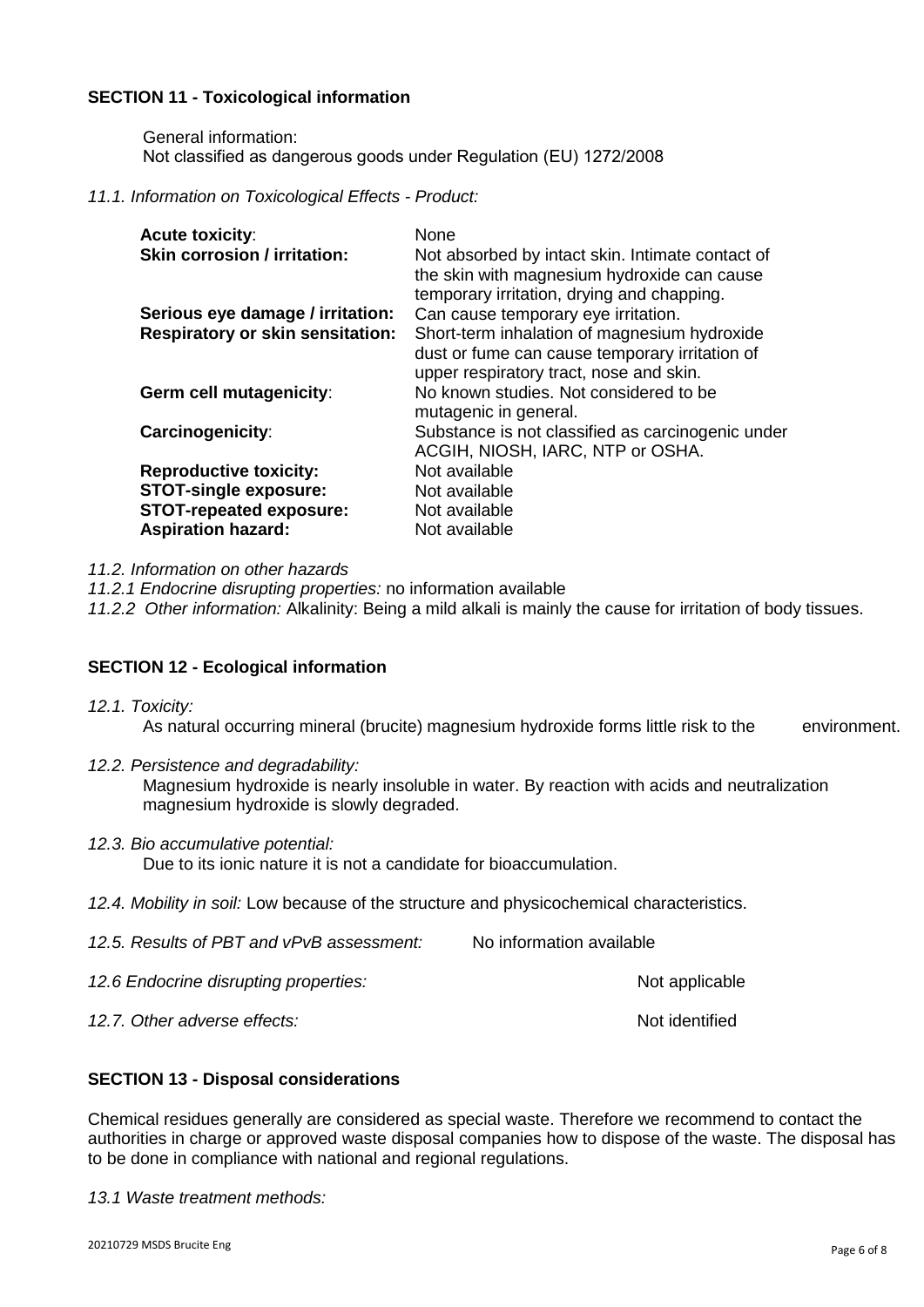## **SECTION 11 - Toxicological information**

General information: Not classified as dangerous goods under Regulation (EU) 1272/2008

#### *11.1. Information on Toxicological Effects - Product:*

| <b>Acute toxicity:</b><br><b>Skin corrosion / irritation:</b> | None<br>Not absorbed by intact skin. Intimate contact of<br>the skin with magnesium hydroxide can cause<br>temporary irritation, drying and chapping. |
|---------------------------------------------------------------|-------------------------------------------------------------------------------------------------------------------------------------------------------|
| Serious eye damage / irritation:                              | Can cause temporary eye irritation.                                                                                                                   |
| <b>Respiratory or skin sensitation:</b>                       | Short-term inhalation of magnesium hydroxide<br>dust or fume can cause temporary irritation of<br>upper respiratory tract, nose and skin.             |
| Germ cell mutagenicity:                                       | No known studies. Not considered to be<br>mutagenic in general.                                                                                       |
| Carcinogenicity:                                              | Substance is not classified as carcinogenic under<br>ACGIH, NIOSH, IARC, NTP or OSHA.                                                                 |
| <b>Reproductive toxicity:</b>                                 | Not available                                                                                                                                         |
| <b>STOT-single exposure:</b>                                  | Not available                                                                                                                                         |
| <b>STOT-repeated exposure:</b>                                | Not available                                                                                                                                         |
| <b>Aspiration hazard:</b>                                     | Not available                                                                                                                                         |

*11.2. Information on other hazards*

*11.2.1 Endocrine disrupting properties:* no information available

*11.2.2 Other information:* Alkalinity: Being a mild alkali is mainly the cause for irritation of body tissues.

#### **SECTION 12 - Ecological information**

*12.1. Toxicity:*

As natural occurring mineral (brucite) magnesium hydroxide forms little risk to the environment.

- *12.2. Persistence and degradability:* Magnesium hydroxide is nearly insoluble in water. By reaction with acids and neutralization magnesium hydroxide is slowly degraded.
- *12.3. Bio accumulative potential:* Due to its ionic nature it is not a candidate for bioaccumulation.
- *12.4. Mobility in soil:* Low because of the structure and physicochemical characteristics.

| 12.5. Results of PBT and vPvB assessment: | No information available |
|-------------------------------------------|--------------------------|
| 12.6 Endocrine disrupting properties:     | Not applicable           |
| 12.7. Other adverse effects:              | Not identified           |

## **SECTION 13 - Disposal considerations**

Chemical residues generally are considered as special waste. Therefore we recommend to contact the authorities in charge or approved waste disposal companies how to dispose of the waste. The disposal has to be done in compliance with national and regional regulations.

*13.1 Waste treatment methods:*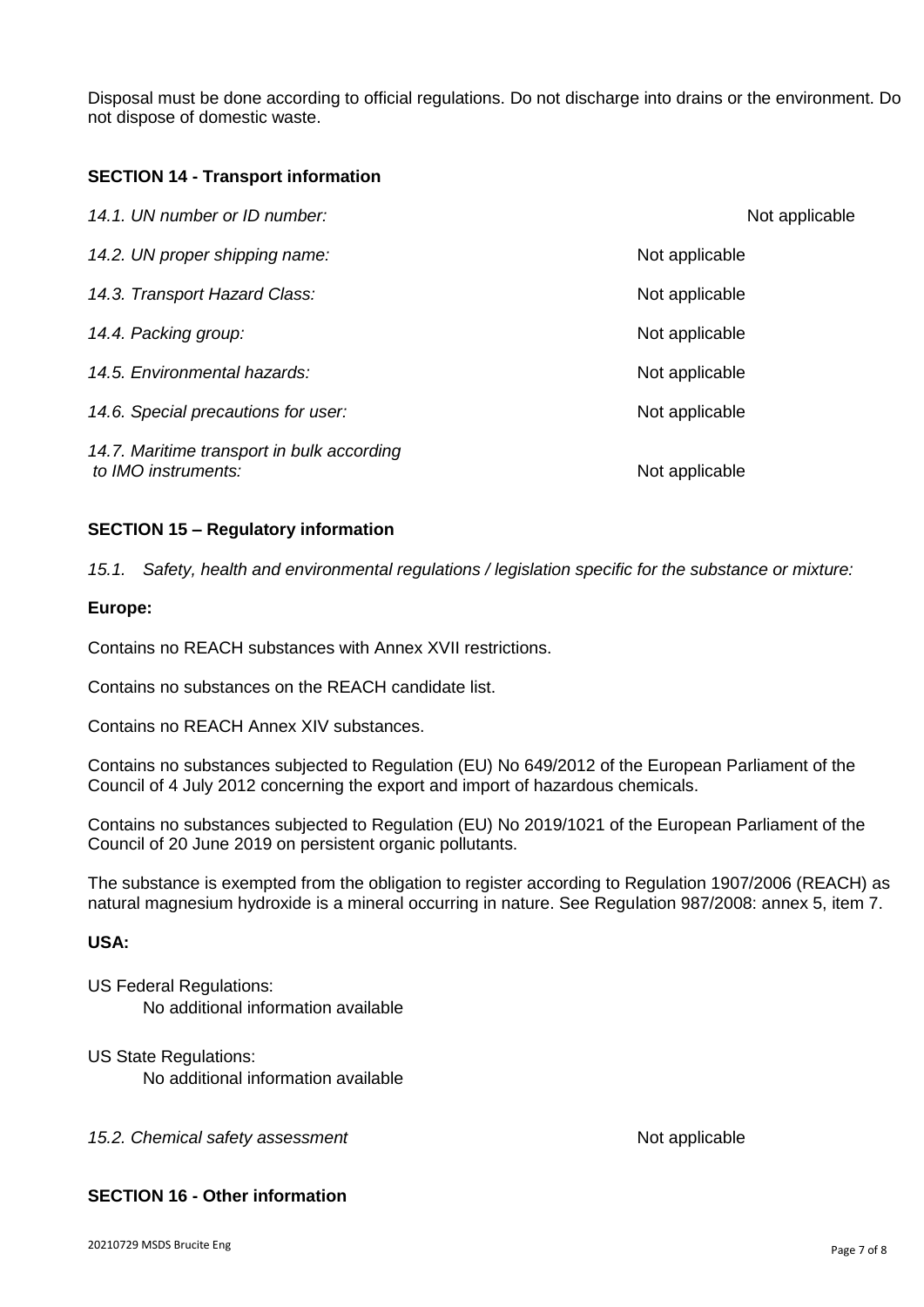Disposal must be done according to official regulations. Do not discharge into drains or the environment. Do not dispose of domestic waste.

### **SECTION 14 - Transport information**

| 14.1. UN number or ID number:                                     | Not applicable |
|-------------------------------------------------------------------|----------------|
| 14.2. UN proper shipping name:                                    | Not applicable |
| 14.3. Transport Hazard Class:                                     | Not applicable |
| 14.4. Packing group:                                              | Not applicable |
| 14.5. Environmental hazards:                                      | Not applicable |
| 14.6. Special precautions for user:                               | Not applicable |
| 14.7. Maritime transport in bulk according<br>to IMO instruments: | Not applicable |

#### **SECTION 15 – Regulatory information**

*15.1. Safety, health and environmental regulations / legislation specific for the substance or mixture:*

#### **Europe:**

Contains no REACH substances with Annex XVII restrictions.

Contains no substances on the REACH candidate list.

Contains no REACH Annex XIV substances.

Contains no substances subjected to Regulation (EU) No 649/2012 of the European Parliament of the Council of 4 July 2012 concerning the export and import of hazardous chemicals.

Contains no substances subjected to Regulation (EU) No 2019/1021 of the European Parliament of the Council of 20 June 2019 on persistent organic pollutants.

The substance is exempted from the obligation to register according to Regulation 1907/2006 (REACH) as natural magnesium hydroxide is a mineral occurring in nature. See Regulation 987/2008: annex 5, item 7.

### **USA:**

US Federal Regulations: No additional information available

US State Regulations: No additional information available

15.2. Chemical safety assessment **Not applicable** Not applicable

## **SECTION 16 - Other information**